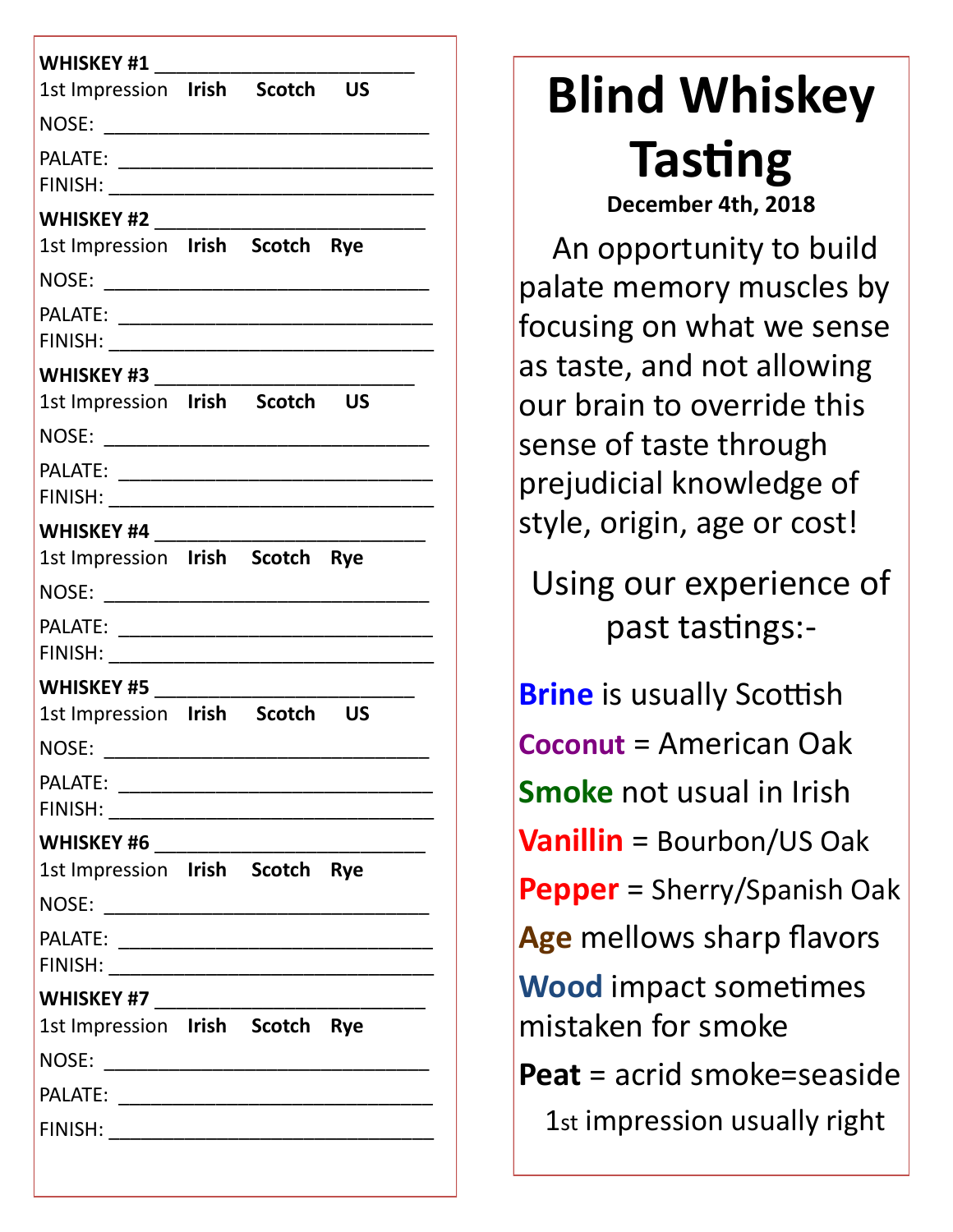| <b>WHISKEY #1</b> _______________ |  |  |
|-----------------------------------|--|--|
| 1st Impression Irish Scotch US    |  |  |
|                                   |  |  |
|                                   |  |  |
|                                   |  |  |
| <b>WHISKEY #2</b> _______________ |  |  |
| 1st Impression Irish Scotch Rye   |  |  |
|                                   |  |  |
|                                   |  |  |
|                                   |  |  |
|                                   |  |  |
| 1st Impression Irish Scotch US    |  |  |
|                                   |  |  |
|                                   |  |  |
|                                   |  |  |
| 1st Impression Irish Scotch Rye   |  |  |
|                                   |  |  |
|                                   |  |  |
| FINISH: ________________________  |  |  |
| <b>WHISKEY #5</b> _________       |  |  |
| 1st Impression Irish Scotch US    |  |  |
| NOSE:                             |  |  |
|                                   |  |  |
|                                   |  |  |
|                                   |  |  |
| 1st Impression Irish Scotch Rye   |  |  |
|                                   |  |  |
|                                   |  |  |
|                                   |  |  |
|                                   |  |  |
| 1st Impression Irish Scotch Rye   |  |  |
|                                   |  |  |
|                                   |  |  |
| FINISH: _________________________ |  |  |
|                                   |  |  |

# **Blind Whiskey Tasting**

**December 4th, 2018**

 An opportunity to build palate memory muscles by focusing on what we sense as taste, and not allowing our brain to override this sense of taste through prejudicial knowledge of style, origin, age or cost!

Using our experience of past tastings:-

**Brine** is usually Scottish **Coconut** = American Oak **Smoke** not usual in Irish **Vanillin** = Bourbon/US Oak **Pepper** = Sherry/Spanish Oak **Age** mellows sharp flavors **Wood** impact sometimes mistaken for smoke

**Peat** = acrid smoke=seaside

1st impression usually right